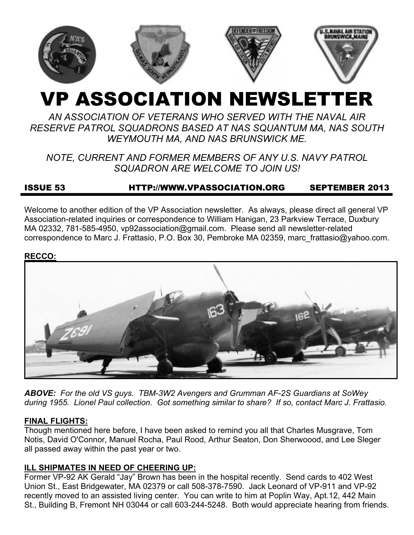

# VP ASSOCIATION NEWSLETTER

*AN ASSOCIATION OF VETERANS WHO SERVED WITH THE NAVAL AIR RESERVE PATROL SQUADRONS BASED AT NAS SQUANTUM MA, NAS SOUTH WEYMOUTH MA, AND NAS BRUNSWICK ME.* 

*NOTE, CURRENT AND FORMER MEMBERS OF ANY U.S. NAVY PATROL SQUADRON ARE WELCOME TO JOIN US!* 

# ISSUE 53 HTTP://WWW.VPASSOCIATION.ORG SEPTEMBER 2013

Welcome to another edition of the VP Association newsletter. As always, please direct all general VP Association-related inquiries or correspondence to William Hanigan, 23 Parkview Terrace, Duxbury MA 02332, 781-585-4950, vp92association@gmail.com. Please send all newsletter-related correspondence to Marc J. Frattasio, P.O. Box 30, Pembroke MA 02359, marc\_frattasio@yahoo.com.

#### **RECCO:**



*ABOVE: For the old VS guys. TBM-3W2 Avengers and Grumman AF-2S Guardians at SoWey during 1955. Lionel Paul collection. Got something similar to share? If so, contact Marc J. Frattasio.* 

#### **FINAL FLIGHTS:**

Though mentioned here before, I have been asked to remind you all that Charles Musgrave, Tom Notis, David O'Connor, Manuel Rocha, Paul Rood, Arthur Seaton, Don Sherwoood, and Lee Sleger all passed away within the past year or two.

#### **ILL SHIPMATES IN NEED OF CHEERING UP:**

Former VP-92 AK Gerald "Jay" Brown has been in the hospital recently. Send cards to 402 West Union St., East Bridgewater, MA 02379 or call 508-378-7590. Jack Leonard of VP-911 and VP-92 recently moved to an assisted living center. You can write to him at Poplin Way, Apt.12, 442 Main St., Building B, Fremont NH 03044 or call 603-244-5248. Both would appreciate hearing from friends.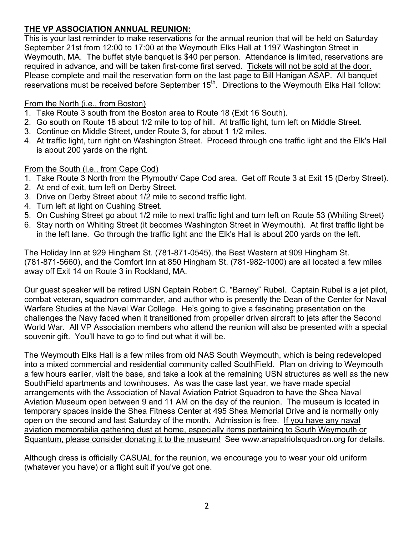## **THE VP ASSOCIATION ANNUAL REUNION:**

This is your last reminder to make reservations for the annual reunion that will be held on Saturday September 21st from 12:00 to 17:00 at the Weymouth Elks Hall at 1197 Washington Street in Weymouth, MA. The buffet style banquet is \$40 per person. Attendance is limited, reservations are required in advance, and will be taken first-come first served. Tickets will not be sold at the door. Please complete and mail the reservation form on the last page to Bill Hanigan ASAP. All banquet reservations must be received before September  $15<sup>th</sup>$ . Directions to the Weymouth Elks Hall follow:

## From the North (i.e., from Boston)

- 1. Take Route 3 south from the Boston area to Route 18 (Exit 16 South).
- 2. Go south on Route 18 about 1/2 mile to top of hill. At traffic light, turn left on Middle Street.
- 3. Continue on Middle Street, under Route 3, for about 1 1/2 miles.
- 4. At traffic light, turn right on Washington Street. Proceed through one traffic light and the Elk's Hall is about 200 yards on the right.

## From the South (i.e., from Cape Cod)

- 1. Take Route 3 North from the Plymouth/ Cape Cod area. Get off Route 3 at Exit 15 (Derby Street).
- 2. At end of exit, turn left on Derby Street.
- 3. Drive on Derby Street about 1/2 mile to second traffic light.
- 4. Turn left at light on Cushing Street.
- 5. On Cushing Street go about 1/2 mile to next traffic light and turn left on Route 53 (Whiting Street)
- 6. Stay north on Whiting Street (it becomes Washington Street in Weymouth). At first traffic light be in the left lane. Go through the traffic light and the Elk's Hall is about 200 yards on the left.

The Holiday Inn at 929 Hingham St. (781-871-0545), the Best Western at 909 Hingham St. (781-871-5660), and the Comfort Inn at 850 Hingham St. (781-982-1000) are all located a few miles away off Exit 14 on Route 3 in Rockland, MA.

Our guest speaker will be retired USN Captain Robert C. "Barney" Rubel. Captain Rubel is a jet pilot, combat veteran, squadron commander, and author who is presently the Dean of the Center for Naval Warfare Studies at the Naval War College. He's going to give a fascinating presentation on the challenges the Navy faced when it transitioned from propeller driven aircraft to jets after the Second World War. All VP Association members who attend the reunion will also be presented with a special souvenir gift. You'll have to go to find out what it will be.

The Weymouth Elks Hall is a few miles from old NAS South Weymouth, which is being redeveloped into a mixed commercial and residential community called SouthField. Plan on driving to Weymouth a few hours earlier, visit the base, and take a look at the remaining USN structures as well as the new SouthField apartments and townhouses. As was the case last year, we have made special arrangements with the Association of Naval Aviation Patriot Squadron to have the Shea Naval Aviation Museum open between 9 and 11 AM on the day of the reunion. The museum is located in temporary spaces inside the Shea Fitness Center at 495 Shea Memorial Drive and is normally only open on the second and last Saturday of the month. Admission is free. If you have any naval aviation memorabilia gathering dust at home, especially items pertaining to South Weymouth or Squantum, please consider donating it to the museum! See www.anapatriotsquadron.org for details.

Although dress is officially CASUAL for the reunion, we encourage you to wear your old uniform (whatever you have) or a flight suit if you've got one.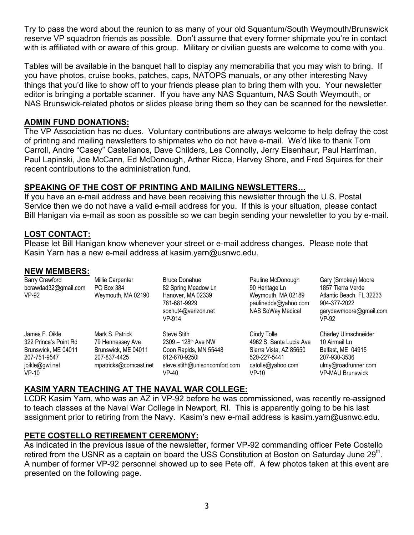Try to pass the word about the reunion to as many of your old Squantum/South Weymouth/Brunswick reserve VP squadron friends as possible. Don't assume that every former shipmate you're in contact with is affiliated with or aware of this group. Military or civilian guests are welcome to come with you.

Tables will be available in the banquet hall to display any memorabilia that you may wish to bring. If you have photos, cruise books, patches, caps, NATOPS manuals, or any other interesting Navy things that you'd like to show off to your friends please plan to bring them with you. Your newsletter editor is bringing a portable scanner. If you have any NAS Squantum, NAS South Weymouth, or NAS Brunswick-related photos or slides please bring them so they can be scanned for the newsletter.

## **ADMIN FUND DONATIONS:**

The VP Association has no dues. Voluntary contributions are always welcome to help defray the cost of printing and mailing newsletters to shipmates who do not have e-mail. We'd like to thank Tom Carroll, Andre "Casey" Castellanos, Dave Childers, Les Connolly, Jerry Eisenhaur, Paul Harriman, Paul Lapinski, Joe McCann, Ed McDonough, Arther Ricca, Harvey Shore, and Fred Squires for their recent contributions to the administration fund.

## **SPEAKING OF THE COST OF PRINTING AND MAILING NEWSLETTERS…**

If you have an e-mail address and have been receiving this newsletter through the U.S. Postal Service then we do not have a valid e-mail address for you. If this is your situation, please contact Bill Hanigan via e-mail as soon as possible so we can begin sending your newsletter to you by e-mail.

## **LOST CONTACT:**

Please let Bill Hanigan know whenever your street or e-mail address changes. Please note that Kasin Yarn has a new e-mail address at kasim.yarn@usnwc.edu.

#### **NEW MEMBERS:**

| <b>Barry Crawford</b><br>bcrawdad32@gmail.com<br>$VP-92$                                                    | Millie Carpenter<br>PO Box 384<br>Weymouth, MA 02190                                                | <b>Bruce Donahue</b><br>82 Spring Meadow Ln<br>Hanover, MA 02339<br>781-681-9929<br>soxnut4@verizon.net<br>VP-914                           | Pauline McDonough<br>90 Heritage Ln<br>Weymouth, MA 02189<br>paulinedds@yahoo.com<br><b>NAS SoWey Medical</b>    | Gary (Smokey) Moore<br>1857 Tierra Verde<br>Atlantic Beach, FL 32233<br>904-377-2022<br>garydewmoore@gmail.com<br>VP-92             |
|-------------------------------------------------------------------------------------------------------------|-----------------------------------------------------------------------------------------------------|---------------------------------------------------------------------------------------------------------------------------------------------|------------------------------------------------------------------------------------------------------------------|-------------------------------------------------------------------------------------------------------------------------------------|
| James F. Oikle<br>322 Prince's Point Rd<br>Brunswick, ME 04011<br>207-751-9547<br>joikle@gwi.net<br>$VP-10$ | Mark S. Patrick<br>79 Hennessey Ave<br>Brunswick, ME 04011<br>207-837-4425<br>mpatricks@comcast.net | <b>Steve Stith</b><br>$2309 - 128$ <sup>th</sup> Ave NW<br>Coon Rapids, MN 55448<br>612-670-92501<br>steve.stith@unisoncomfort.com<br>VP-40 | Cindy Tolle<br>4962 S. Santa Lucia Ave<br>Sierra Vista, AZ 85650<br>520-227-5441<br>catolle@yahoo.com<br>$VP-10$ | <b>Charley Ulmschneider</b><br>10 Airmail Ln<br>Belfast, ME 04915<br>207-930-3536<br>ulmy@roadrunner.com<br><b>VP-MAU Brunswick</b> |

#### **KASIM YARN TEACHING AT THE NAVAL WAR COLLEGE:**

LCDR Kasim Yarn, who was an AZ in VP-92 before he was commissioned, was recently re-assigned to teach classes at the Naval War College in Newport, RI. This is apparently going to be his last assignment prior to retiring from the Navy. Kasim's new e-mail address is kasim.yarn@usnwc.edu.

## **PETE COSTELLO RETIREMENT CEREMONY:**

As indicated in the previous issue of the newsletter, former VP-92 commanding officer Pete Costello retired from the USNR as a captain on board the USS Constitution at Boston on Saturday June 29<sup>th</sup>. A number of former VP-92 personnel showed up to see Pete off. A few photos taken at this event are presented on the following page.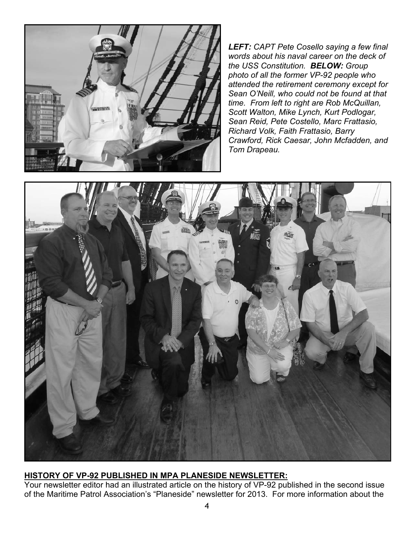

*LEFT: CAPT Pete Cosello saying a few final words about his naval career on the deck of the USS Constitution. BELOW: Group photo of all the former VP-92 people who attended the retirement ceremony except for Sean O'Neill, who could not be found at that time. From left to right are Rob McQuillan, Scott Walton, Mike Lynch, Kurt Podlogar, Sean Reid, Pete Costello, Marc Frattasio, Richard Volk, Faith Frattasio, Barry Crawford, Rick Caesar, John Mcfadden, and Tom Drapeau.* 



## **HISTORY OF VP-92 PUBLISHED IN MPA PLANESIDE NEWSLETTER:**

Your newsletter editor had an illustrated article on the history of VP-92 published in the second issue of the Maritime Patrol Association's "Planeside" newsletter for 2013. For more information about the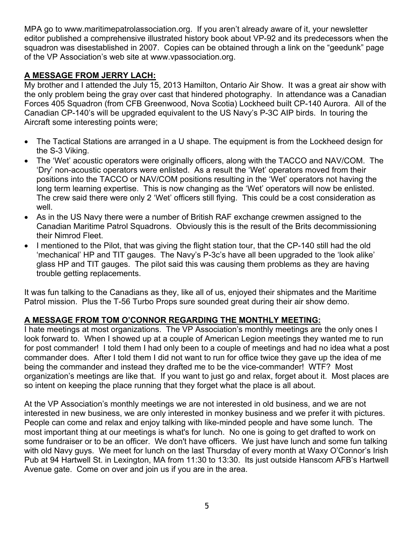MPA go to www.maritimepatrolassociation.org. If you aren't already aware of it, your newsletter editor published a comprehensive illustrated history book about VP-92 and its predecessors when the squadron was disestablished in 2007. Copies can be obtained through a link on the "geedunk" page of the VP Association's web site at www.vpassociation.org.

## **A MESSAGE FROM JERRY LACH:**

My brother and I attended the July 15, 2013 Hamilton, Ontario Air Show. It was a great air show with the only problem being the gray over cast that hindered photography. In attendance was a Canadian Forces 405 Squadron (from CFB Greenwood, Nova Scotia) Lockheed built CP-140 Aurora. All of the Canadian CP-140's will be upgraded equivalent to the US Navy's P-3C AIP birds. In touring the Aircraft some interesting points were;

- The Tactical Stations are arranged in a U shape. The equipment is from the Lockheed design for the S-3 Viking.
- The 'Wet' acoustic operators were originally officers, along with the TACCO and NAV/COM. The 'Dry' non-acoustic operators were enlisted. As a result the 'Wet' operators moved from their positions into the TACCO or NAV/COM positions resulting in the 'Wet' operators not having the long term learning expertise. This is now changing as the 'Wet' operators will now be enlisted. The crew said there were only 2 'Wet' officers still flying. This could be a cost consideration as well.
- As in the US Navy there were a number of British RAF exchange crewmen assigned to the Canadian Maritime Patrol Squadrons. Obviously this is the result of the Brits decommissioning their Nimrod Fleet.
- I mentioned to the Pilot, that was giving the flight station tour, that the CP-140 still had the old 'mechanical' HP and TIT gauges. The Navy's P-3c's have all been upgraded to the 'look alike' glass HP and TIT gauges. The pilot said this was causing them problems as they are having trouble getting replacements.

It was fun talking to the Canadians as they, like all of us, enjoyed their shipmates and the Maritime Patrol mission. Plus the T-56 Turbo Props sure sounded great during their air show demo.

## **A MESSAGE FROM TOM O'CONNOR REGARDING THE MONTHLY MEETING:**

I hate meetings at most organizations. The VP Association's monthly meetings are the only ones I look forward to. When I showed up at a couple of American Legion meetings they wanted me to run for post commander! I told them I had only been to a couple of meetings and had no idea what a post commander does. After I told them I did not want to run for office twice they gave up the idea of me being the commander and instead they drafted me to be the vice-commander! WTF? Most organization's meetings are like that. If you want to just go and relax, forget about it. Most places are so intent on keeping the place running that they forget what the place is all about.

At the VP Association's monthly meetings we are not interested in old business, and we are not interested in new business, we are only interested in monkey business and we prefer it with pictures. People can come and relax and enjoy talking with like-minded people and have some lunch. The most important thing at our meetings is what's for lunch. No one is going to get drafted to work on some fundraiser or to be an officer. We don't have officers. We just have lunch and some fun talking with old Navy guys. We meet for lunch on the last Thursday of every month at Waxy O'Connor's Irish Pub at 94 Hartwell St. in Lexington, MA from 11:30 to 13:30. Its just outside Hanscom AFB's Hartwell Avenue gate. Come on over and join us if you are in the area.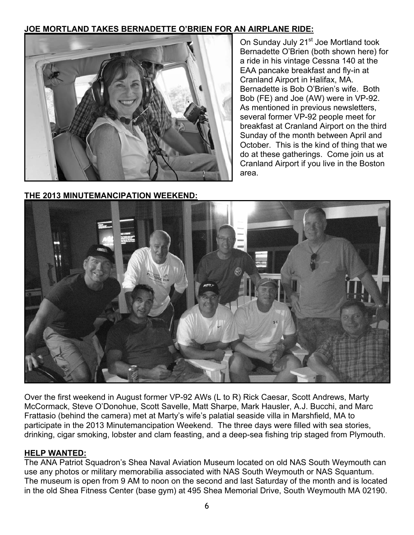## **JOE MORTLAND TAKES BERNADETTE O'BRIEN FOR AN AIRPLANE RIDE:**



**THE 2013 MINUTEMANCIPATION WEEKEND:**

On Sunday July 21<sup>st</sup> Joe Mortland took Bernadette O'Brien (both shown here) for a ride in his vintage Cessna 140 at the EAA pancake breakfast and fly-in at Cranland Airport in Halifax, MA. Bernadette is Bob O'Brien's wife. Both Bob (FE) and Joe (AW) were in VP-92. As mentioned in previous newsletters, several former VP-92 people meet for breakfast at Cranland Airport on the third Sunday of the month between April and October. This is the kind of thing that we do at these gatherings. Come join us at Cranland Airport if you live in the Boston area.



Over the first weekend in August former VP-92 AWs (L to R) Rick Caesar, Scott Andrews, Marty McCormack, Steve O'Donohue, Scott Savelle, Matt Sharpe, Mark Hausler, A.J. Bucchi, and Marc Frattasio (behind the camera) met at Marty's wife's palatial seaside villa in Marshfield, MA to participate in the 2013 Minutemancipation Weekend. The three days were filled with sea stories, drinking, cigar smoking, lobster and clam feasting, and a deep-sea fishing trip staged from Plymouth.

## **HELP WANTED:**

The ANA Patriot Squadron's Shea Naval Aviation Museum located on old NAS South Weymouth can use any photos or military memorabilia associated with NAS South Weymouth or NAS Squantum. The museum is open from 9 AM to noon on the second and last Saturday of the month and is located in the old Shea Fitness Center (base gym) at 495 Shea Memorial Drive, South Weymouth MA 02190.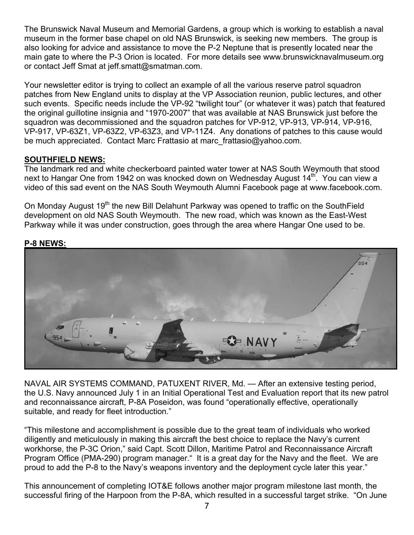The Brunswick Naval Museum and Memorial Gardens, a group which is working to establish a naval museum in the former base chapel on old NAS Brunswick, is seeking new members. The group is also looking for advice and assistance to move the P-2 Neptune that is presently located near the main gate to where the P-3 Orion is located. For more details see www.brunswicknavalmuseum.org or contact Jeff Smat at jeff.smatt@smatman.com.

Your newsletter editor is trying to collect an example of all the various reserve patrol squadron patches from New England units to display at the VP Association reunion, public lectures, and other such events. Specific needs include the VP-92 "twilight tour" (or whatever it was) patch that featured the original guillotine insignia and "1970-2007" that was available at NAS Brunswick just before the squadron was decommissioned and the squadron patches for VP-912, VP-913, VP-914, VP-916, VP-917, VP-63Z1, VP-63Z2, VP-63Z3, and VP-11Z4. Any donations of patches to this cause would be much appreciated. Contact Marc Frattasio at marc\_frattasio@yahoo.com.

## **SOUTHFIELD NEWS:**

The landmark red and white checkerboard painted water tower at NAS South Weymouth that stood next to Hangar One from 1942 on was knocked down on Wednesday August 14<sup>th</sup>. You can view a video of this sad event on the NAS South Weymouth Alumni Facebook page at www.facebook.com.

On Monday August 19<sup>th</sup> the new Bill Delahunt Parkway was opened to traffic on the SouthField development on old NAS South Weymouth. The new road, which was known as the East-West Parkway while it was under construction, goes through the area where Hangar One used to be.

## **P-8 NEWS:**



NAVAL AIR SYSTEMS COMMAND, PATUXENT RIVER, Md. — After an extensive testing period, the U.S. Navy announced July 1 in an Initial Operational Test and Evaluation report that its new patrol and reconnaissance aircraft, P-8A Poseidon, was found "operationally effective, operationally suitable, and ready for fleet introduction."

"This milestone and accomplishment is possible due to the great team of individuals who worked diligently and meticulously in making this aircraft the best choice to replace the Navy's current workhorse, the P-3C Orion," said Capt. Scott Dillon, Maritime Patrol and Reconnaissance Aircraft Program Office (PMA-290) program manager." It is a great day for the Navy and the fleet. We are proud to add the P-8 to the Navy's weapons inventory and the deployment cycle later this year."

This announcement of completing IOT&E follows another major program milestone last month, the successful firing of the Harpoon from the P-8A, which resulted in a successful target strike. "On June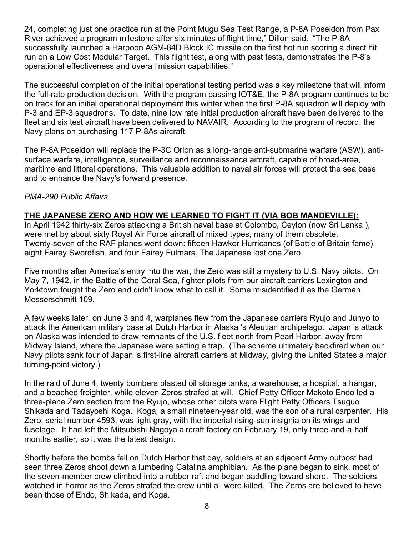24, completing just one practice run at the Point Mugu Sea Test Range, a P-8A Poseidon from Pax River achieved a program milestone after six minutes of flight time," Dillon said. "The P-8A successfully launched a Harpoon AGM-84D Block IC missile on the first hot run scoring a direct hit run on a Low Cost Modular Target. This flight test, along with past tests, demonstrates the P-8's operational effectiveness and overall mission capabilities."

The successful completion of the initial operational testing period was a key milestone that will inform the full-rate production decision. With the program passing IOT&E, the P-8A program continues to be on track for an initial operational deployment this winter when the first P-8A squadron will deploy with P-3 and EP-3 squadrons. To date, nine low rate initial production aircraft have been delivered to the fleet and six test aircraft have been delivered to NAVAIR. According to the program of record, the Navy plans on purchasing 117 P-8As aircraft.

The P-8A Poseidon will replace the P-3C Orion as a long-range anti-submarine warfare (ASW), antisurface warfare, intelligence, surveillance and reconnaissance aircraft, capable of broad-area, maritime and littoral operations. This valuable addition to naval air forces will protect the sea base and to enhance the Navy's forward presence.

## *PMA-290 Public Affairs*

## **THE JAPANESE ZERO AND HOW WE LEARNED TO FIGHT IT (VIA BOB MANDEVILLE):**

In April 1942 thirty-six Zeros attacking a British naval base at Colombo, Ceylon (now Sri Lanka ), were met by about sixty Royal Air Force aircraft of mixed types, many of them obsolete. Twenty-seven of the RAF planes went down: fifteen Hawker Hurricanes (of Battle of Britain fame), eight Fairey Swordfish, and four Fairey Fulmars. The Japanese lost one Zero.

Five months after America's entry into the war, the Zero was still a mystery to U.S. Navy pilots. On May 7, 1942, in the Battle of the Coral Sea, fighter pilots from our aircraft carriers Lexington and Yorktown fought the Zero and didn't know what to call it. Some misidentified it as the German Messerschmitt 109.

A few weeks later, on June 3 and 4, warplanes flew from the Japanese carriers Ryujo and Junyo to attack the American military base at Dutch Harbor in Alaska 's Aleutian archipelago. Japan 's attack on Alaska was intended to draw remnants of the U.S. fleet north from Pearl Harbor, away from Midway Island, where the Japanese were setting a trap. (The scheme ultimately backfired when our Navy pilots sank four of Japan 's first-line aircraft carriers at Midway, giving the United States a major turning-point victory.)

In the raid of June 4, twenty bombers blasted oil storage tanks, a warehouse, a hospital, a hangar, and a beached freighter, while eleven Zeros strafed at will. Chief Petty Officer Makoto Endo led a three-plane Zero section from the Ryujo, whose other pilots were Flight Petty Officers Tsuguo Shikada and Tadayoshi Koga. Koga, a small nineteen-year old, was the son of a rural carpenter. His Zero, serial number 4593, was light gray, with the imperial rising-sun insignia on its wings and fuselage. It had left the Mitsubishi Nagoya aircraft factory on February 19, only three-and-a-half months earlier, so it was the latest design.

Shortly before the bombs fell on Dutch Harbor that day, soldiers at an adjacent Army outpost had seen three Zeros shoot down a lumbering Catalina amphibian. As the plane began to sink, most of the seven-member crew climbed into a rubber raft and began paddling toward shore. The soldiers watched in horror as the Zeros strafed the crew until all were killed. The Zeros are believed to have been those of Endo, Shikada, and Koga.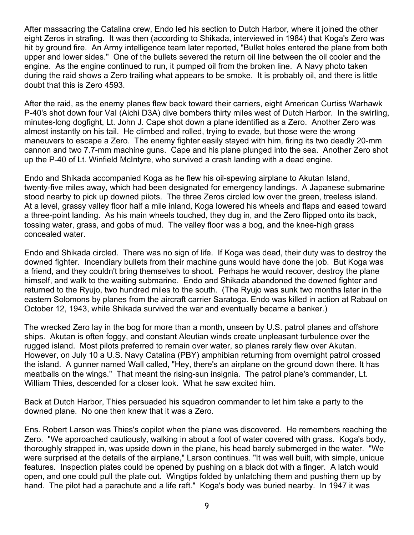After massacring the Catalina crew, Endo led his section to Dutch Harbor, where it joined the other eight Zeros in strafing. It was then (according to Shikada, interviewed in 1984) that Koga's Zero was hit by ground fire. An Army intelligence team later reported, "Bullet holes entered the plane from both upper and lower sides." One of the bullets severed the return oil line between the oil cooler and the engine. As the engine continued to run, it pumped oil from the broken line. A Navy photo taken during the raid shows a Zero trailing what appears to be smoke. It is probably oil, and there is little doubt that this is Zero 4593.

After the raid, as the enemy planes flew back toward their carriers, eight American Curtiss Warhawk P-40's shot down four VaI (Aichi D3A) dive bombers thirty miles west of Dutch Harbor. In the swirling, minutes-long dogfight, Lt. John J. Cape shot down a plane identified as a Zero. Another Zero was almost instantly on his tail. He climbed and rolled, trying to evade, but those were the wrong maneuvers to escape a Zero. The enemy fighter easily stayed with him, firing its two deadly 20-mm cannon and two 7.7-mm machine guns. Cape and his plane plunged into the sea. Another Zero shot up the P-40 of Lt. Winfield McIntyre, who survived a crash landing with a dead engine.

Endo and Shikada accompanied Koga as he flew his oil-spewing airplane to Akutan Island, twenty-five miles away, which had been designated for emergency landings. A Japanese submarine stood nearby to pick up downed pilots. The three Zeros circled low over the green, treeless island. At a level, grassy valley floor half a mile inland, Koga lowered his wheels and flaps and eased toward a three-point landing. As his main wheels touched, they dug in, and the Zero flipped onto its back, tossing water, grass, and gobs of mud. The valley floor was a bog, and the knee-high grass concealed water.

Endo and Shikada circled. There was no sign of life. If Koga was dead, their duty was to destroy the downed fighter. Incendiary bullets from their machine guns would have done the job. But Koga was a friend, and they couldn't bring themselves to shoot. Perhaps he would recover, destroy the plane himself, and walk to the waiting submarine. Endo and Shikada abandoned the downed fighter and returned to the Ryujo, two hundred miles to the south. (The Ryujo was sunk two months later in the eastern Solomons by planes from the aircraft carrier Saratoga. Endo was killed in action at Rabaul on October 12, 1943, while Shikada survived the war and eventually became a banker.)

The wrecked Zero lay in the bog for more than a month, unseen by U.S. patrol planes and offshore ships. Akutan is often foggy, and constant Aleutian winds create unpleasant turbulence over the rugged island. Most pilots preferred to remain over water, so planes rarely flew over Akutan. However, on July 10 a U.S. Navy Catalina (PBY) amphibian returning from overnight patrol crossed the island. A gunner named Wall called, "Hey, there's an airplane on the ground down there. It has meatballs on the wings." That meant the rising-sun insignia. The patrol plane's commander, Lt. William Thies, descended for a closer look. What he saw excited him.

Back at Dutch Harbor, Thies persuaded his squadron commander to let him take a party to the downed plane. No one then knew that it was a Zero.

Ens. Robert Larson was Thies's copilot when the plane was discovered. He remembers reaching the Zero. "We approached cautiously, walking in about a foot of water covered with grass. Koga's body, thoroughly strapped in, was upside down in the plane, his head barely submerged in the water. "We were surprised at the details of the airplane," Larson continues. "It was well built, with simple, unique features. Inspection plates could be opened by pushing on a black dot with a finger. A latch would open, and one could pull the plate out. Wingtips folded by unlatching them and pushing them up by hand. The pilot had a parachute and a life raft." Koga's body was buried nearby. In 1947 it was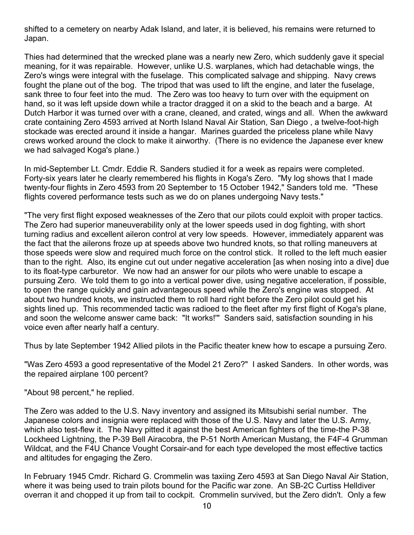shifted to a cemetery on nearby Adak Island, and later, it is believed, his remains were returned to Japan.

Thies had determined that the wrecked plane was a nearly new Zero, which suddenly gave it special meaning, for it was repairable. However, unlike U.S. warplanes, which had detachable wings, the Zero's wings were integral with the fuselage. This complicated salvage and shipping. Navy crews fought the plane out of the bog. The tripod that was used to lift the engine, and later the fuselage, sank three to four feet into the mud. The Zero was too heavy to turn over with the equipment on hand, so it was left upside down while a tractor dragged it on a skid to the beach and a barge. At Dutch Harbor it was turned over with a crane, cleaned, and crated, wings and all. When the awkward crate containing Zero 4593 arrived at North Island Naval Air Station, San Diego , a twelve-foot-high stockade was erected around it inside a hangar. Marines guarded the priceless plane while Navy crews worked around the clock to make it airworthy. (There is no evidence the Japanese ever knew we had salvaged Koga's plane.)

In mid-September Lt. Cmdr. Eddie R. Sanders studied it for a week as repairs were completed. Forty-six years later he clearly remembered his flights in Koga's Zero. "My log shows that I made twenty-four flights in Zero 4593 from 20 September to 15 October 1942," Sanders told me. "These flights covered performance tests such as we do on planes undergoing Navy tests."

"The very first flight exposed weaknesses of the Zero that our pilots could exploit with proper tactics. The Zero had superior maneuverability only at the lower speeds used in dog fighting, with short turning radius and excellent aileron control at very low speeds. However, immediately apparent was the fact that the ailerons froze up at speeds above two hundred knots, so that rolling maneuvers at those speeds were slow and required much force on the control stick. It rolled to the left much easier than to the right. Also, its engine cut out under negative acceleration [as when nosing into a dive] due to its float-type carburetor. We now had an answer for our pilots who were unable to escape a pursuing Zero. We told them to go into a vertical power dive, using negative acceleration, if possible, to open the range quickly and gain advantageous speed while the Zero's engine was stopped. At about two hundred knots, we instructed them to roll hard right before the Zero pilot could get his sights lined up. This recommended tactic was radioed to the fleet after my first flight of Koga's plane, and soon the welcome answer came back: "It works!'" Sanders said, satisfaction sounding in his voice even after nearly half a century.

Thus by late September 1942 Allied pilots in the Pacific theater knew how to escape a pursuing Zero.

"Was Zero 4593 a good representative of the Model 21 Zero?" I asked Sanders. In other words, was the repaired airplane 100 percent?

"About 98 percent," he replied.

The Zero was added to the U.S. Navy inventory and assigned its Mitsubishi serial number. The Japanese colors and insignia were replaced with those of the U.S. Navy and later the U.S. Army, which also test-flew it. The Navy pitted it against the best American fighters of the time-the P-38 Lockheed Lightning, the P-39 Bell Airacobra, the P-51 North American Mustang, the F4F-4 Grumman Wildcat, and the F4U Chance Vought Corsair-and for each type developed the most effective tactics and altitudes for engaging the Zero.

In February 1945 Cmdr. Richard G. Crommelin was taxiing Zero 4593 at San Diego Naval Air Station, where it was being used to train pilots bound for the Pacific war zone. An SB-2C Curtiss Helldiver overran it and chopped it up from tail to cockpit. Crommelin survived, but the Zero didn't. Only a few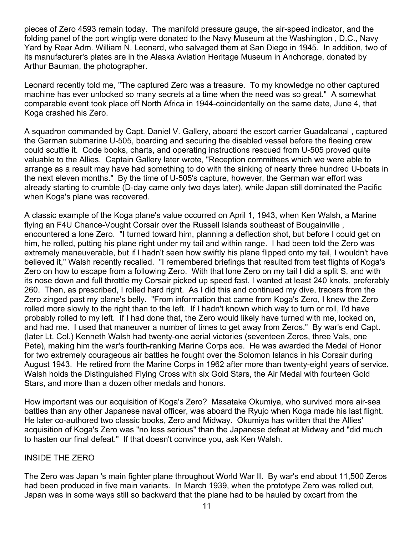pieces of Zero 4593 remain today. The manifold pressure gauge, the air-speed indicator, and the folding panel of the port wingtip were donated to the Navy Museum at the Washington , D.C., Navy Yard by Rear Adm. William N. Leonard, who salvaged them at San Diego in 1945. In addition, two of its manufacturer's plates are in the Alaska Aviation Heritage Museum in Anchorage, donated by Arthur Bauman, the photographer.

Leonard recently told me, "The captured Zero was a treasure. To my knowledge no other captured machine has ever unlocked so many secrets at a time when the need was so great." A somewhat comparable event took place off North Africa in 1944-coincidentally on the same date, June 4, that Koga crashed his Zero.

A squadron commanded by Capt. Daniel V. Gallery, aboard the escort carrier Guadalcanal , captured the German submarine U-505, boarding and securing the disabled vessel before the fleeing crew could scuttle it. Code books, charts, and operating instructions rescued from U-505 proved quite valuable to the Allies. Captain Gallery later wrote, "Reception committees which we were able to arrange as a result may have had something to do with the sinking of nearly three hundred U-boats in the next eleven months." By the time of U-505's capture, however, the German war effort was already starting to crumble (D-day came only two days later), while Japan still dominated the Pacific when Koga's plane was recovered.

A classic example of the Koga plane's value occurred on April 1, 1943, when Ken Walsh, a Marine flying an F4U Chance-Vought Corsair over the Russell Islands southeast of Bougainville , encountered a lone Zero. "I turned toward him, planning a deflection shot, but before I could get on him, he rolled, putting his plane right under my tail and within range. I had been told the Zero was extremely maneuverable, but if I hadn't seen how swiftly his plane flipped onto my tail, I wouldn't have believed it," Walsh recently recalled. "I remembered briefings that resulted from test flights of Koga's Zero on how to escape from a following Zero. With that lone Zero on my tail I did a split S, and with its nose down and full throttle my Corsair picked up speed fast. I wanted at least 240 knots, preferably 260. Then, as prescribed, I rolled hard right. As I did this and continued my dive, tracers from the Zero zinged past my plane's belly. "From information that came from Koga's Zero, I knew the Zero rolled more slowly to the right than to the left. If I hadn't known which way to turn or roll, I'd have probably rolled to my left. If I had done that, the Zero would likely have turned with me, locked on, and had me. I used that maneuver a number of times to get away from Zeros." By war's end Capt. (later Lt. Col.) Kenneth Walsh had twenty-one aerial victories (seventeen Zeros, three Vals, one Pete), making him the war's fourth-ranking Marine Corps ace. He was awarded the Medal of Honor for two extremely courageous air battles he fought over the Solomon Islands in his Corsair during August 1943. He retired from the Marine Corps in 1962 after more than twenty-eight years of service. Walsh holds the Distinguished Flying Cross with six Gold Stars, the Air Medal with fourteen Gold Stars, and more than a dozen other medals and honors.

How important was our acquisition of Koga's Zero? Masatake Okumiya, who survived more air-sea battles than any other Japanese naval officer, was aboard the Ryujo when Koga made his last flight. He later co-authored two classic books, Zero and Midway. Okumiya has written that the Allies' acquisition of Koga's Zero was "no less serious" than the Japanese defeat at Midway and "did much to hasten our final defeat." If that doesn't convince you, ask Ken Walsh.

#### INSIDE THE ZERO

The Zero was Japan 's main fighter plane throughout World War II. By war's end about 11,500 Zeros had been produced in five main variants. In March 1939, when the prototype Zero was rolled out, Japan was in some ways still so backward that the plane had to be hauled by oxcart from the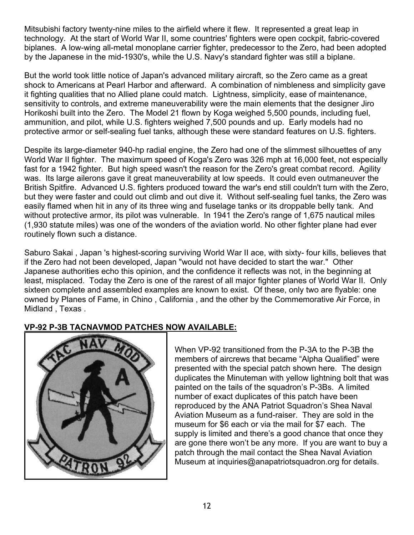Mitsubishi factory twenty-nine miles to the airfield where it flew. It represented a great leap in technology. At the start of World War II, some countries' fighters were open cockpit, fabric-covered biplanes. A low-wing all-metal monoplane carrier fighter, predecessor to the Zero, had been adopted by the Japanese in the mid-1930's, while the U.S. Navy's standard fighter was still a biplane.

But the world took little notice of Japan's advanced military aircraft, so the Zero came as a great shock to Americans at Pearl Harbor and afterward. A combination of nimbleness and simplicity gave it fighting qualities that no Allied plane could match. Lightness, simplicity, ease of maintenance, sensitivity to controls, and extreme maneuverability were the main elements that the designer Jiro Horikoshi built into the Zero. The Model 21 flown by Koga weighed 5,500 pounds, including fuel, ammunition, and pilot, while U.S. fighters weighed 7,500 pounds and up. Early models had no protective armor or self-sealing fuel tanks, although these were standard features on U.S. fighters.

Despite its large-diameter 940-hp radial engine, the Zero had one of the slimmest silhouettes of any World War II fighter. The maximum speed of Koga's Zero was 326 mph at 16,000 feet, not especially fast for a 1942 fighter. But high speed wasn't the reason for the Zero's great combat record. Agility was. Its large ailerons gave it great maneuverability at low speeds. It could even outmaneuver the British Spitfire. Advanced U.S. fighters produced toward the war's end still couldn't turn with the Zero, but they were faster and could out climb and out dive it. Without self-sealing fuel tanks, the Zero was easily flamed when hit in any of its three wing and fuselage tanks or its droppable belly tank. And without protective armor, its pilot was vulnerable. In 1941 the Zero's range of 1,675 nautical miles (1,930 statute miles) was one of the wonders of the aviation world. No other fighter plane had ever routinely flown such a distance.

Saburo Sakai , Japan 's highest-scoring surviving World War II ace, with sixty- four kills, believes that if the Zero had not been developed, Japan "would not have decided to start the war." Other Japanese authorities echo this opinion, and the confidence it reflects was not, in the beginning at least, misplaced. Today the Zero is one of the rarest of all major fighter planes of World War II. Only sixteen complete and assembled examples are known to exist. Of these, only two are flyable: one owned by Planes of Fame, in Chino , California , and the other by the Commemorative Air Force, in Midland , Texas .

## **VP-92 P-3B TACNAVMOD PATCHES NOW AVAILABLE:**



When VP-92 transitioned from the P-3A to the P-3B the members of aircrews that became "Alpha Qualified" were presented with the special patch shown here. The design duplicates the Minuteman with yellow lightning bolt that was painted on the tails of the squadron's P-3Bs. A limited number of exact duplicates of this patch have been reproduced by the ANA Patriot Squadron's Shea Naval Aviation Museum as a fund-raiser. They are sold in the museum for \$6 each or via the mail for \$7 each. The supply is limited and there's a good chance that once they are gone there won't be any more. If you are want to buy a patch through the mail contact the Shea Naval Aviation Museum at inquiries@anapatriotsquadron.org for details.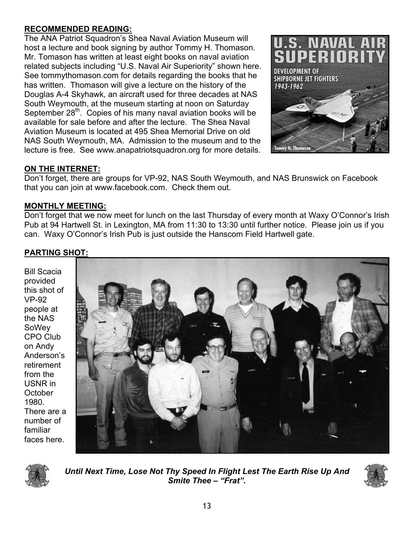## **RECOMMENDED READING:**

The ANA Patriot Squadron's Shea Naval Aviation Museum will host a lecture and book signing by author Tommy H. Thomason. Mr. Tomason has written at least eight books on naval aviation related subjects including "U.S. Naval Air Superiority" shown here. See tommythomason.com for details regarding the books that he has written. Thomason will give a lecture on the history of the Douglas A-4 Skyhawk, an aircraft used for three decades at NAS South Weymouth, at the museum starting at noon on Saturday September 28<sup>th</sup>. Copies of his many naval aviation books will be available for sale before and after the lecture. The Shea Naval Aviation Museum is located at 495 Shea Memorial Drive on old NAS South Weymouth, MA. Admission to the museum and to the lecture is free. See www.anapatriotsquadron.org for more details.



## **ON THE INTERNET:**

Don't forget, there are groups for VP-92, NAS South Weymouth, and NAS Brunswick on Facebook that you can join at www.facebook.com. Check them out.

## **MONTHLY MEETING:**

Don't forget that we now meet for lunch on the last Thursday of every month at Waxy O'Connor's Irish Pub at 94 Hartwell St. in Lexington, MA from 11:30 to 13:30 until further notice. Please join us if you can. Waxy O'Connor's Irish Pub is just outside the Hanscom Field Hartwell gate.

## **PARTING SHOT:**

Bill Scacia provided this shot of VP-92 people at the NAS SoWey CPO Club on Andy Anderson's retirement from the USNR in **October** 1980. There are a number of familiar faces here.





*Until Next Time, Lose Not Thy Speed In Flight Lest The Earth Rise Up And Smite Thee – "Frat".*